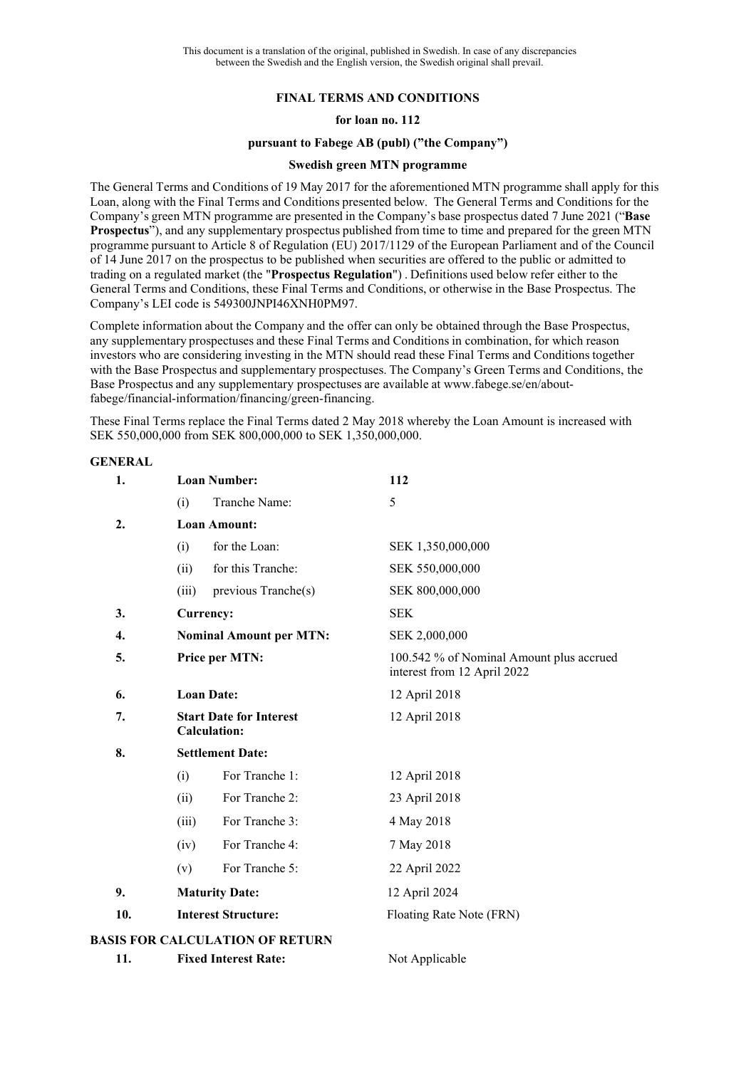# **FINAL TERMS AND CONDITIONS**

## **for loan no. 112**

#### **pursuant to Fabege AB (publ) ("the Company")**

### **Swedish green MTN programme**

The General Terms and Conditions of 19 May 2017 for the aforementioned MTN programme shall apply for this Loan, along with the Final Terms and Conditions presented below. The General Terms and Conditions for the Company's green MTN programme are presented in the Company's base prospectus dated 7 June 2021 ("**Base Prospectus**"), and any supplementary prospectus published from time to time and prepared for the green MTN programme pursuant to Article 8 of Regulation (EU) 2017/1129 of the European Parliament and of the Council of 14 June 2017 on the prospectus to be published when securities are offered to the public or admitted to trading on a regulated market (the "**Prospectus Regulation**") . Definitions used below refer either to the General Terms and Conditions, these Final Terms and Conditions, or otherwise in the Base Prospectus. The Company's LEI code is 549300JNPI46XNH0PM97.

Complete information about the Company and the offer can only be obtained through the Base Prospectus, any supplementary prospectuses and these Final Terms and Conditions in combination, for which reason investors who are considering investing in the MTN should read these Final Terms and Conditions together with the Base Prospectus and supplementary prospectuses. The Company's Green Terms and Conditions, the Base Prospectus and any supplementary prospectuses are available at www.fabege.se/en/aboutfabege/financial-information/financing/green-financing.

These Final Terms replace the Final Terms dated 2 May 2018 whereby the Loan Amount is increased with SEK 550,000,000 from SEK 800,000,000 to SEK 1,350,000,000.

#### **GENERAL**

| 1.  | <b>Loan Number:</b>                                   | 112                                                                     |  |
|-----|-------------------------------------------------------|-------------------------------------------------------------------------|--|
|     | Tranche Name:<br>(i)                                  | 5                                                                       |  |
| 2.  | <b>Loan Amount:</b>                                   |                                                                         |  |
|     | for the Loan:<br>(i)                                  | SEK 1,350,000,000                                                       |  |
|     | for this Tranche:<br>(ii)                             | SEK 550,000,000                                                         |  |
|     | previous Tranche(s)<br>(iii)                          | SEK 800,000,000                                                         |  |
| 3.  | Currency:                                             | <b>SEK</b>                                                              |  |
| 4.  | <b>Nominal Amount per MTN:</b>                        | SEK 2,000,000                                                           |  |
| 5.  | Price per MTN:                                        | 100.542 % of Nominal Amount plus accrued<br>interest from 12 April 2022 |  |
| 6.  | <b>Loan Date:</b>                                     | 12 April 2018                                                           |  |
| 7.  | <b>Start Date for Interest</b><br><b>Calculation:</b> | 12 April 2018                                                           |  |
| 8.  | <b>Settlement Date:</b>                               |                                                                         |  |
|     | For Tranche 1:<br>(i)                                 | 12 April 2018                                                           |  |
|     | For Tranche 2:<br>(ii)                                | 23 April 2018                                                           |  |
|     | For Tranche 3:<br>(iii)                               | 4 May 2018                                                              |  |
|     | For Tranche 4:<br>(iv)                                | 7 May 2018                                                              |  |
|     | For Tranche 5:<br>(v)                                 | 22 April 2022                                                           |  |
| 9.  | <b>Maturity Date:</b>                                 | 12 April 2024                                                           |  |
| 10. | <b>Interest Structure:</b>                            | Floating Rate Note (FRN)                                                |  |
|     | <b>BASIS FOR CALCULATION OF RETURN</b>                |                                                                         |  |
| 11. | <b>Fixed Interest Rate:</b>                           | Not Applicable                                                          |  |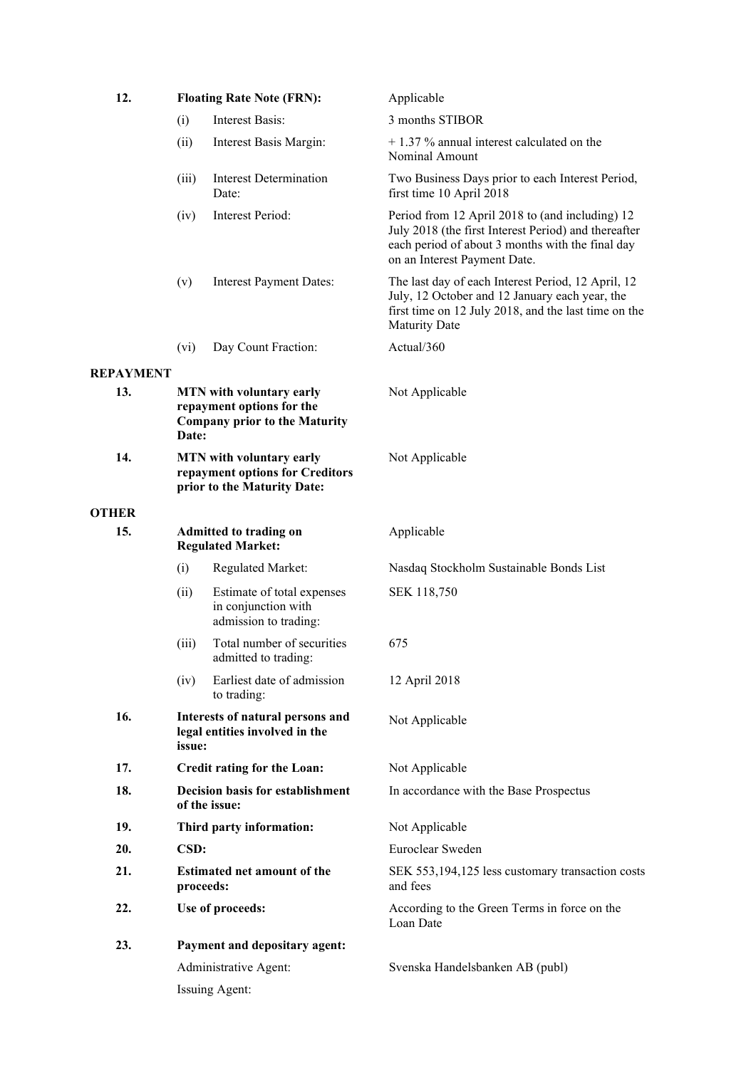| 12.              | <b>Floating Rate Note (FRN):</b>                                                                       |                                                                            | Applicable                                                                                                                                                                                  |
|------------------|--------------------------------------------------------------------------------------------------------|----------------------------------------------------------------------------|---------------------------------------------------------------------------------------------------------------------------------------------------------------------------------------------|
|                  | (i)                                                                                                    | Interest Basis:                                                            | 3 months STIBOR                                                                                                                                                                             |
|                  | (ii)                                                                                                   | Interest Basis Margin:                                                     | $+$ 1.37 % annual interest calculated on the<br>Nominal Amount                                                                                                                              |
|                  | (iii)                                                                                                  | <b>Interest Determination</b><br>Date:                                     | Two Business Days prior to each Interest Period,<br>first time 10 April 2018                                                                                                                |
|                  | (iv)                                                                                                   | Interest Period:                                                           | Period from 12 April 2018 to (and including) 12<br>July 2018 (the first Interest Period) and thereafter<br>each period of about 3 months with the final day<br>on an Interest Payment Date. |
|                  | (v)                                                                                                    | <b>Interest Payment Dates:</b>                                             | The last day of each Interest Period, 12 April, 12<br>July, 12 October and 12 January each year, the<br>first time on 12 July 2018, and the last time on the<br><b>Maturity Date</b>        |
|                  | (vi)                                                                                                   | Day Count Fraction:                                                        | Actual/360                                                                                                                                                                                  |
| <b>REPAYMENT</b> |                                                                                                        |                                                                            |                                                                                                                                                                                             |
| 13.              | MTN with voluntary early<br>repayment options for the<br><b>Company prior to the Maturity</b><br>Date: |                                                                            | Not Applicable                                                                                                                                                                              |
| 14.              | MTN with voluntary early<br>repayment options for Creditors<br>prior to the Maturity Date:             |                                                                            | Not Applicable                                                                                                                                                                              |
| <b>OTHER</b>     |                                                                                                        |                                                                            |                                                                                                                                                                                             |
| 15.              | <b>Admitted to trading on</b><br><b>Regulated Market:</b>                                              |                                                                            | Applicable                                                                                                                                                                                  |
|                  | (i)                                                                                                    | Regulated Market:                                                          | Nasdaq Stockholm Sustainable Bonds List                                                                                                                                                     |
|                  | (ii)                                                                                                   | Estimate of total expenses<br>in conjunction with<br>admission to trading: | SEK 118,750                                                                                                                                                                                 |
|                  | (iii)                                                                                                  | Total number of securities<br>admitted to trading:                         | 675                                                                                                                                                                                         |
|                  | (iv)                                                                                                   | Earliest date of admission<br>to trading:                                  | 12 April 2018                                                                                                                                                                               |
| 16.              | Interests of natural persons and<br>legal entities involved in the<br>issue:                           |                                                                            | Not Applicable                                                                                                                                                                              |
| 17.              | Credit rating for the Loan:                                                                            |                                                                            | Not Applicable                                                                                                                                                                              |
| 18.              | <b>Decision basis for establishment</b><br>of the issue:                                               |                                                                            | In accordance with the Base Prospectus                                                                                                                                                      |
| 19.              | Third party information:                                                                               |                                                                            | Not Applicable                                                                                                                                                                              |
| 20.              | CSD:                                                                                                   |                                                                            | Euroclear Sweden                                                                                                                                                                            |
| 21.              | <b>Estimated net amount of the</b><br>proceeds:                                                        |                                                                            | SEK 553,194,125 less customary transaction costs<br>and fees                                                                                                                                |
| 22.              | Use of proceeds:                                                                                       |                                                                            | According to the Green Terms in force on the<br>Loan Date                                                                                                                                   |
| 23.              |                                                                                                        | Payment and depositary agent:                                              |                                                                                                                                                                                             |
|                  | Administrative Agent:                                                                                  |                                                                            | Svenska Handelsbanken AB (publ)                                                                                                                                                             |
|                  | Issuing Agent:                                                                                         |                                                                            |                                                                                                                                                                                             |